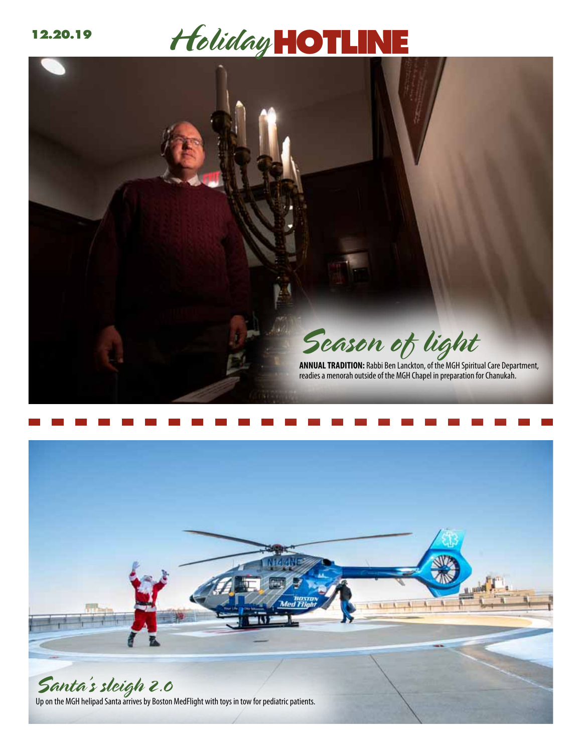## 12.20.19 **Holiday HOTL**





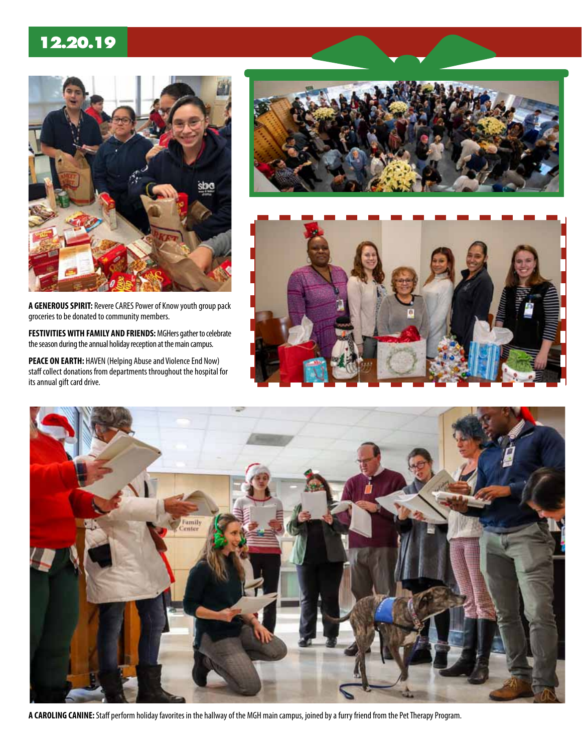#### **12.20.19**



**a generous spirit:** Revere CARES Power of Know youth group pack groceries to be donated to community members.

**Festivities WITH FAMILY AND FRIENDS:** MGHers gather to celebrate the season during the annual holiday reception at the main campus.

**peace ON earth:** HAVEN (Helping Abuse and Violence End Now) staff collect donations from departments throughout the hospital for its annual gift card drive.







**a Caroling canine:** Staff perform holiday favorites in the hallway of the MGH main campus, joined by a furry friend from the Pet Therapy Program.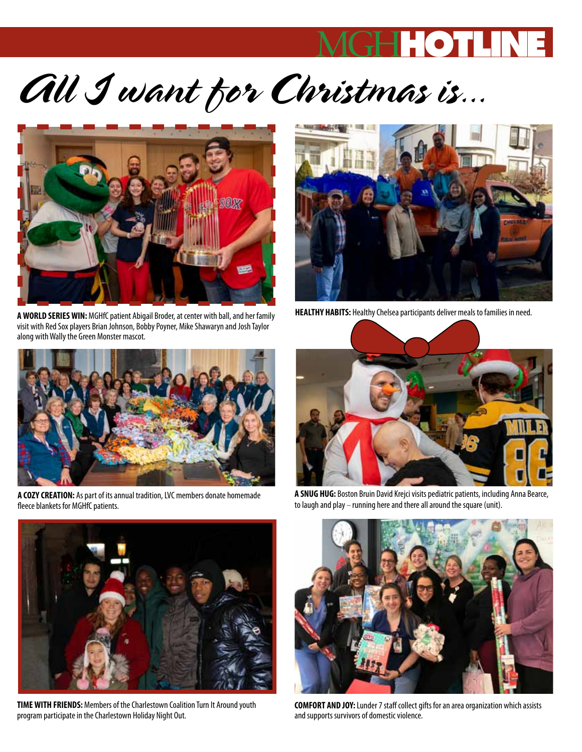### MGH**HOT**

# *All I want for Christmas is...*



**A WORLD SERIES WIN:** MGHfC patient Abigail Broder, at center with ball, and her family visit with Red Sox players Brian Johnson, Bobby Poyner, Mike Shawaryn and Josh Taylor along with Wally the Green Monster mascot.



**Healthy Habits:** Healthy Chelsea participants deliver meals to families in need.



**A COZY CREATION:** As part of its annual tradition, LVC members donate homemade fleece blankets for MGHfC patients.



**A snug hug:** Boston Bruin David Krejci visits pediatric patients, including Anna Bearce, to laugh and play – running here and there all around the square (unit).



**Time with friends:** Members of the Charlestown Coalition Turn It Around youth program participate in the Charlestown Holiday Night Out.



**Comfort and joy:** Lunder 7 staff collect gifts for an area organization which assists and supports survivors of domestic violence.